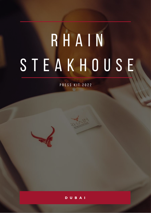# R H A I N S T E A K H O U S E

P R E S S K I T 2 0 2 2



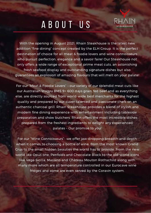#### A B O U T U S



With the opening in August 2021, Rhain Steakhouse is the latest new addition "fine dining" concept created by the ELH Group. It is the perfect destination of choice for all meat & foodie lovers and wine connoisseurs who pursuit perfection, elegance and a savoir faire! Our Steakhouse not only offers a wide range of exceptional prime meat cuts, an astonishing fresh seafood display and outstanding signature dishes but also guarantees an explosion of amazing flavours that will melt on your palate!

For our "Meat & Foodie Lovers" – our variety of our splendid meat cuts like our Australian Wagyu BMS 9+ 600 days grain fed beef and as everything else, are directly sourced from world-wide best merchants for the highest quality and prepared by our super talented and passionate chefs on an authentic charcoal grill. Rhain Steakhouse provides a blend of stylish and modern fine dining experience with entertainment including tableside preparation and show butchers. Rhain offers the most incredible dishes prepared from the freshest ingredients to delight any experienced palates – Our promise to you!

For our "Wine Connoisseurs"- we offer jaw-dropping breadth and depth when it comes to choosing a bottle of wine, from the most known Grand Crus to the small hidden beauties the world has to provide. From the new world like Opus one, Penfolds and Chocolate Block to the old-world icons like Vega Sicilia, Masseto and Château Mouton Rothschild along with many more which are all temperature controlled in our Eurocave wine fridges and some are even served by the Coravin system.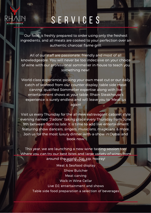#### S E R V I C E S

Our food is freshly prepared to order using only the freshest ingredients, and all meats are cooked to your perfection over an authentic charcoal flame grill.

All of our staff are passionate, friendly and most of all knowledgeable. You will never be too indecisive on your choice of wine with our professional sommelier in-house to teach you something new!

World class experience, picking your own meat cut or our daily catch of seafood from our counter display, table side meat carving, qualified Sommelier expertise along with live entertainment shows at your table; Rhain Steakhouse's experience is surely endless and will leave you to 'Meat' us again!

Visit us every Thursday for the all-new extravagant cabaret style evening named "J'adore" taking place every Thursday from June 9th between 9pm to late. It is time to add live entertainment featuring show dancers, singers, musicians, magicians & more. Join us for the most luxury dinner-with-a-show in Dubai and book now.

This year, we are launching a new wine tasting session too! Where you can try our best bites and large variety of wines from around the world...Sip, sip, hooray! Meat & Seafood display Show Butcher Meat carving Walk in Wine Cellar Live DJ, entertainment and shows Table side food preparation a selection of beverages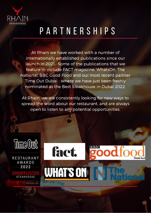

### P A R T N E R S H I P S

At Rhain we have worked with a number of internationally established publications since our launch in 2021. Some of the publications that we feature in include FACT magazine, WhatsOn, The National, BBC Good Food and our most recent partner Time Out Dubai - where we have just been freshly nominated as the Best Steakhouse in Dubai 2022.

At Rhain, we are consistently looking for new ways to spread the word about our restaurant, and are always open to listen to any potential opportunities.

**WHAT'S ON! INTER** 

fact.

 $B|B|C$ 

**Middle East** 



**RESTAURANT AWARDS** 2022